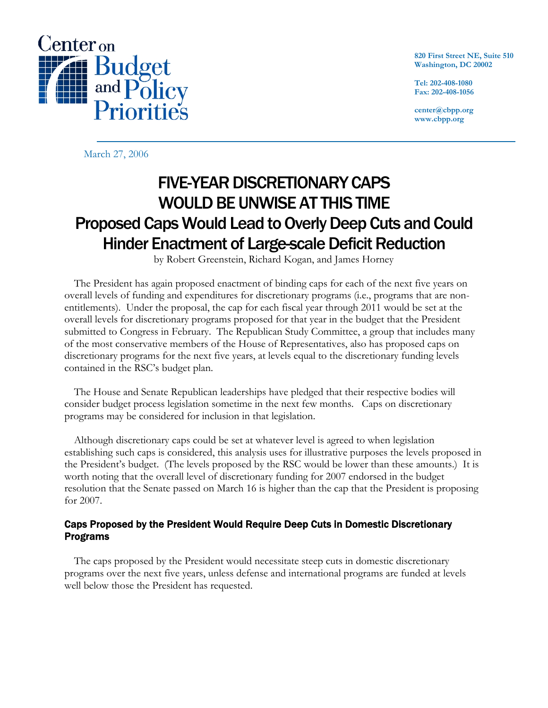

**820 First Street NE, Suite 510 Washington, DC 20002** 

**Tel: 202-408-1080 Fax: 202-408-1056** 

**center@cbpp.org www.cbpp.org** 

March 27, 2006

# FIVE-YEAR DISCRETIONARY CAPS WOULD BE UNWISE AT THIS TIME Proposed Caps Would Lead to Overly Deep Cuts and Could Hinder Enactment of Large-scale Deficit Reduction

by Robert Greenstein, Richard Kogan, and James Horney

 The President has again proposed enactment of binding caps for each of the next five years on overall levels of funding and expenditures for discretionary programs (i.e., programs that are nonentitlements). Under the proposal, the cap for each fiscal year through 2011 would be set at the overall levels for discretionary programs proposed for that year in the budget that the President submitted to Congress in February. The Republican Study Committee, a group that includes many of the most conservative members of the House of Representatives, also has proposed caps on discretionary programs for the next five years, at levels equal to the discretionary funding levels contained in the RSC's budget plan.

 The House and Senate Republican leaderships have pledged that their respective bodies will consider budget process legislation sometime in the next few months. Caps on discretionary programs may be considered for inclusion in that legislation.

 Although discretionary caps could be set at whatever level is agreed to when legislation establishing such caps is considered, this analysis uses for illustrative purposes the levels proposed in the President's budget. (The levels proposed by the RSC would be lower than these amounts.) It is worth noting that the overall level of discretionary funding for 2007 endorsed in the budget resolution that the Senate passed on March 16 is higher than the cap that the President is proposing for 2007.

## Caps Proposed by the President Would Require Deep Cuts in Domestic Discretionary Programs

The caps proposed by the President would necessitate steep cuts in domestic discretionary programs over the next five years, unless defense and international programs are funded at levels well below those the President has requested.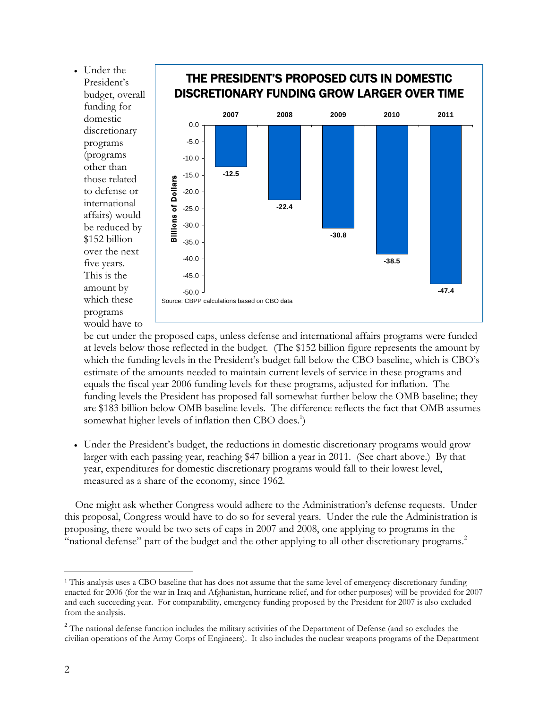• Under the President's budget, overall funding for domestic discretionary programs (programs other than those related to defense or international affairs) would be reduced by \$152 billion over the next five years. This is the amount by which these programs would have to



## be cut under the proposed caps, unless defense and international affairs programs were funded at levels below those reflected in the budget. (The \$152 billion figure represents the amount by which the funding levels in the President's budget fall below the CBO baseline, which is CBO's estimate of the amounts needed to maintain current levels of service in these programs and equals the fiscal year 2006 funding levels for these programs, adjusted for inflation. The funding levels the President has proposed fall somewhat further below the OMB baseline; they are \$183 billion below OMB baseline levels. The difference reflects the fact that OMB assumes somewhat higher levels of inflation then CBO does. $^{1}$ )

• Under the President's budget, the reductions in domestic discretionary programs would grow larger with each passing year, reaching \$47 billion a year in 2011. (See chart above.) By that year, expenditures for domestic discretionary programs would fall to their lowest level, measured as a share of the economy, since 1962.

 One might ask whether Congress would adhere to the Administration's defense requests. Under this proposal, Congress would have to do so for several years. Under the rule the Administration is proposing, there would be two sets of caps in 2007 and 2008, one applying to programs in the "national defense" part of the budget and the other applying to all other discretionary programs.<sup>2</sup>

-

<sup>&</sup>lt;sup>1</sup> This analysis uses a CBO baseline that has does not assume that the same level of emergency discretionary funding enacted for 2006 (for the war in Iraq and Afghanistan, hurricane relief, and for other purposes) will be provided for 2007 and each succeeding year. For comparability, emergency funding proposed by the President for 2007 is also excluded from the analysis.

<sup>&</sup>lt;sup>2</sup> The national defense function includes the military activities of the Department of Defense (and so excludes the civilian operations of the Army Corps of Engineers). It also includes the nuclear weapons programs of the Department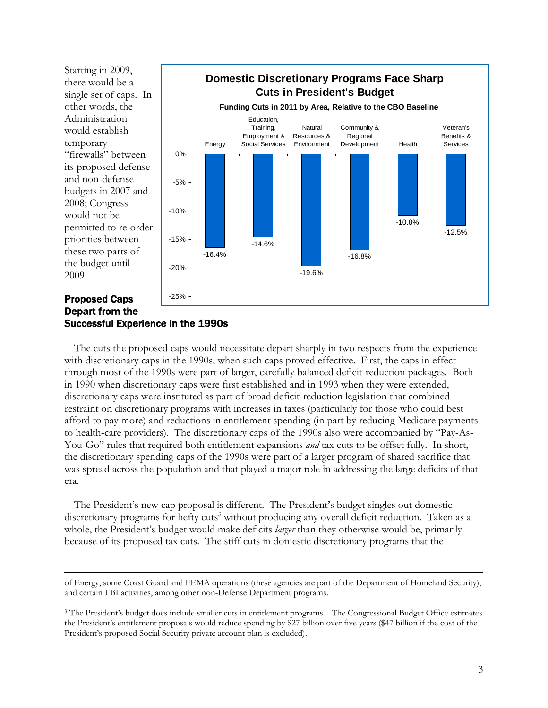

## Successful Experience in the 1990s

 The cuts the proposed caps would necessitate depart sharply in two respects from the experience with discretionary caps in the 1990s, when such caps proved effective. First, the caps in effect through most of the 1990s were part of larger, carefully balanced deficit-reduction packages. Both in 1990 when discretionary caps were first established and in 1993 when they were extended, discretionary caps were instituted as part of broad deficit-reduction legislation that combined restraint on discretionary programs with increases in taxes (particularly for those who could best afford to pay more) and reductions in entitlement spending (in part by reducing Medicare payments to health-care providers). The discretionary caps of the 1990s also were accompanied by "Pay-As-You-Go" rules that required both entitlement expansions *and* tax cuts to be offset fully. In short, the discretionary spending caps of the 1990s were part of a larger program of shared sacrifice that was spread across the population and that played a major role in addressing the large deficits of that era.

 The President's new cap proposal is different. The President's budget singles out domestic discretionary programs for hefty cuts<sup>3</sup> without producing any overall deficit reduction. Taken as a whole, the President's budget would make deficits *larger* than they otherwise would be, primarily because of its proposed tax cuts. The stiff cuts in domestic discretionary programs that the

Į

of Energy, some Coast Guard and FEMA operations (these agencies are part of the Department of Homeland Security), and certain FBI activities, among other non-Defense Department programs.

<sup>&</sup>lt;sup>3</sup> The President's budget does include smaller cuts in entitlement programs. The Congressional Budget Office estimates the President's entitlement proposals would reduce spending by \$27 billion over five years (\$47 billion if the cost of the President's proposed Social Security private account plan is excluded).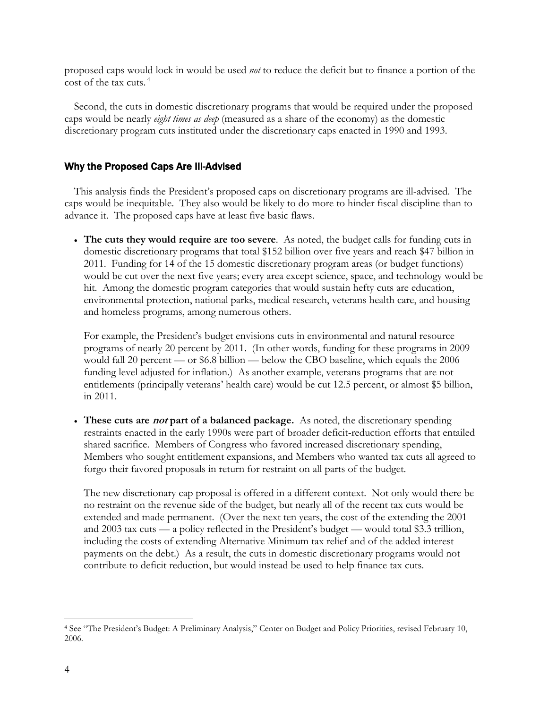proposed caps would lock in would be used *not* to reduce the deficit but to finance a portion of the cost of the tax cuts. 4

 Second, the cuts in domestic discretionary programs that would be required under the proposed caps would be nearly *eight times as deep* (measured as a share of the economy) as the domestic discretionary program cuts instituted under the discretionary caps enacted in 1990 and 1993.

### Why the Proposed Caps Are Ill-Advised

 This analysis finds the President's proposed caps on discretionary programs are ill-advised. The caps would be inequitable. They also would be likely to do more to hinder fiscal discipline than to advance it. The proposed caps have at least five basic flaws.

• **The cuts they would require are too severe**. As noted, the budget calls for funding cuts in domestic discretionary programs that total \$152 billion over five years and reach \$47 billion in 2011. Funding for 14 of the 15 domestic discretionary program areas (or budget functions) would be cut over the next five years; every area except science, space, and technology would be hit. Among the domestic program categories that would sustain hefty cuts are education, environmental protection, national parks, medical research, veterans health care, and housing and homeless programs, among numerous others.

For example, the President's budget envisions cuts in environmental and natural resource programs of nearly 20 percent by 2011. (In other words, funding for these programs in 2009 would fall 20 percent — or \$6.8 billion — below the CBO baseline, which equals the 2006 funding level adjusted for inflation.) As another example, veterans programs that are not entitlements (principally veterans' health care) would be cut 12.5 percent, or almost \$5 billion, in 2011.

• **These cuts are not part of a balanced package.** As noted, the discretionary spending restraints enacted in the early 1990s were part of broader deficit-reduction efforts that entailed shared sacrifice. Members of Congress who favored increased discretionary spending, Members who sought entitlement expansions, and Members who wanted tax cuts all agreed to forgo their favored proposals in return for restraint on all parts of the budget.

The new discretionary cap proposal is offered in a different context. Not only would there be no restraint on the revenue side of the budget, but nearly all of the recent tax cuts would be extended and made permanent. (Over the next ten years, the cost of the extending the 2001 and 2003 tax cuts — a policy reflected in the President's budget — would total \$3.3 trillion, including the costs of extending Alternative Minimum tax relief and of the added interest payments on the debt.) As a result, the cuts in domestic discretionary programs would not contribute to deficit reduction, but would instead be used to help finance tax cuts.

 $\overline{a}$ 

<sup>4</sup> See "The President's Budget: A Preliminary Analysis," Center on Budget and Policy Priorities, revised February 10, 2006.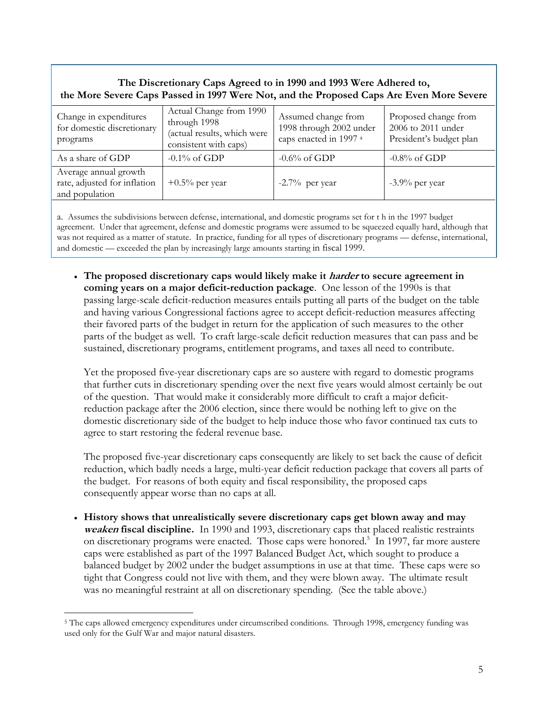## **The Discretionary Caps Agreed to in 1990 and 1993 Were Adhered to, the More Severe Caps Passed in 1997 Were Not, and the Proposed Caps Are Even More Severe**

| Change in expenditures<br>for domestic discretionary<br>programs        | Actual Change from 1990<br>through 1998<br>(actual results, which were<br>consistent with caps) | Assumed change from<br>1998 through 2002 under<br>caps enacted in 1997 a | Proposed change from<br>2006 to 2011 under<br>President's budget plan |
|-------------------------------------------------------------------------|-------------------------------------------------------------------------------------------------|--------------------------------------------------------------------------|-----------------------------------------------------------------------|
| As a share of GDP                                                       | $-0.1\%$ of GDP                                                                                 | $-0.6\%$ of GDP                                                          | $-0.8\%$ of GDP                                                       |
| Average annual growth<br>rate, adjusted for inflation<br>and population | $+0.5\%$ per year                                                                               | $-2.7\%$ per year                                                        | $-3.9\%$ per year                                                     |

a. Assumes the subdivisions between defense, international, and domestic programs set for t h in the 1997 budget agreement. Under that agreement, defense and domestic programs were assumed to be squeezed equally hard, although that was not required as a matter of statute. In practice, funding for all types of discretionary programs — defense, international, and domestic — exceeded the plan by increasingly large amounts starting in fiscal 1999.

 $\overline{a}$ 

• **The proposed discretionary caps would likely make it harder to secure agreement in coming years on a major deficit-reduction package**. One lesson of the 1990s is that passing large-scale deficit-reduction measures entails putting all parts of the budget on the table and having various Congressional factions agree to accept deficit-reduction measures affecting their favored parts of the budget in return for the application of such measures to the other parts of the budget as well. To craft large-scale deficit reduction measures that can pass and be sustained, discretionary programs, entitlement programs, and taxes all need to contribute.

Yet the proposed five-year discretionary caps are so austere with regard to domestic programs that further cuts in discretionary spending over the next five years would almost certainly be out of the question. That would make it considerably more difficult to craft a major deficitreduction package after the 2006 election, since there would be nothing left to give on the domestic discretionary side of the budget to help induce those who favor continued tax cuts to agree to start restoring the federal revenue base.

The proposed five-year discretionary caps consequently are likely to set back the cause of deficit reduction, which badly needs a large, multi-year deficit reduction package that covers all parts of the budget. For reasons of both equity and fiscal responsibility, the proposed caps consequently appear worse than no caps at all.

• **History shows that unrealistically severe discretionary caps get blown away and may weaken fiscal discipline.** In 1990 and 1993, discretionary caps that placed realistic restraints on discretionary programs were enacted. Those caps were honored.<sup>5</sup> In 1997, far more austere caps were established as part of the 1997 Balanced Budget Act, which sought to produce a balanced budget by 2002 under the budget assumptions in use at that time. These caps were so tight that Congress could not live with them, and they were blown away. The ultimate result was no meaningful restraint at all on discretionary spending. (See the table above.)

 $\overline{a}$ 

<sup>5</sup> The caps allowed emergency expenditures under circumscribed conditions. Through 1998, emergency funding was used only for the Gulf War and major natural disasters.